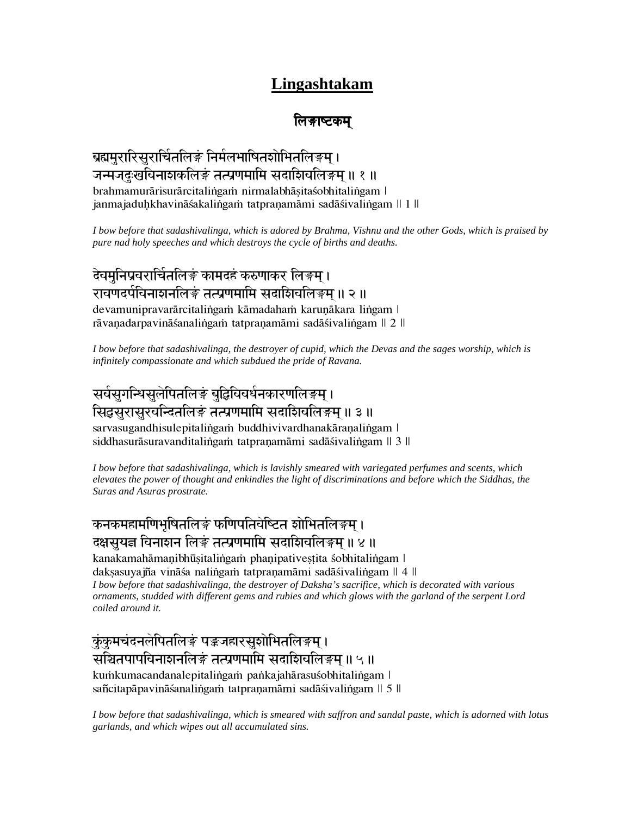# **Lingashtakam**

#### लिङाष्टकम्

#### ब्रह्ममुरारिसुरार्चितलिङं निर्मलभाषितशोभितलिङ्म् । जन्मजदुःखविनाशकलिङं तत्प्रणमामि सदाशिवलिङ्गम ॥ १ ॥ brahmamurārisurārcitalingam nirmalabhāsitaśobhitalingam | janmajaduhkhavināśakalingam tatpraņamāmi sadāśivalingam || 1 ||

*I bow before that sadashivalinga, which is adored by Brahma, Vishnu and the other Gods, which is praised by pure nad holy speeches and which destroys the cycle of births and deaths.*

देवमुनिप्रवरार्चितलिङं कामदहं करुणाकर लिङ्म् । रावणदर्पविनाशनलिङं तत्प्रणमामि सदाशिवलिङ्म ॥ २ ॥ devamunipravarārcitalingam kāmadaham karuņākara lingam | rāvaņadarpavināśanalingam tatpraņamāmi sadāśivalingam || 2 ||

*I bow before that sadashivalinga, the destroyer of cupid, which the Devas and the sages worship, which is infinitely compassionate and which subdued the pride of Ravana.*

## सर्वसुगन्धिसुलेपितलिङं बुद्धिविवर्धनकारणलिङ़म् । सिद्धसुरासुरवन्दितलिङ्गं तत्प्रणमामि सदाशिवलिङ्गम ॥ ३ ॥ sarvasugandhisulepitalingam buddhivivardhanakāranalingam l

siddhasurāsuravanditalingam tatpraņamāmi sadāśivalingam || 3 ||

*I bow before that sadashivalinga, which is lavishly smeared with variegated perfumes and scents, which elevates the power of thought and enkindles the light of discriminations and before which the Siddhas, the Suras and Asuras prostrate.*

#### <u>कनकमहामणिभुषितलिङ्गं फणिपतिवेष्टित शोभितलिङ्गम्</u> । दक्षसुयज्ञ विनाशन लिङं तत्प्रणमामि सदाशिवलिङ्गम ॥ ४ ॥

kanakamahāmaņibhūṣitaliṅgaṁ phaṇipativeṣṭita śobhitaliṅgam l dakṣasuyajña vināśa naliṅgaṁ tatpraṇamāmi sadāśivaliṅgam || 4 || *I bow before that sadashivalinga, the destroyer of Daksha's sacrifice, which is decorated with various ornaments, studded with different gems and rubies and which glows with the garland of the serpent Lord coiled around it.*

ुकंकुमचंदनलेपितलिङं पङ्कजहारसुशोभितलिङ्म् । सञ्चितपापविनाशनलिङं तत्प्रणमामि सदाशिवलिङ्गम ॥ ५ ॥ kumkumacandanalepitalingam pankajahārasuśobhitalingam∣ sañcitapāpavināśanalingam tatpraņamāmi sadāśivalingam || 5 ||

*I bow before that sadashivalinga, which is smeared with saffron and sandal paste, which is adorned with lotus garlands, and which wipes out all accumulated sins.*